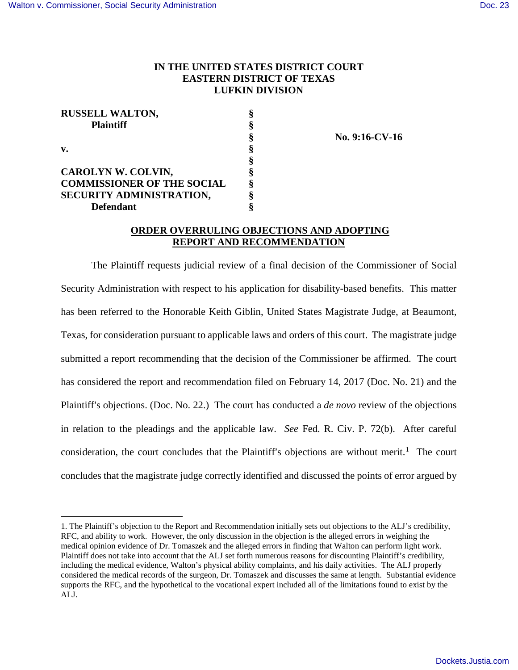<u>.</u>

## **IN THE UNITED STATES DISTRICT COURT EASTERN DISTRICT OF TEXAS LUFKIN DIVISION**

| <b>RUSSELL WALTON,</b>            |   |
|-----------------------------------|---|
| <b>Plaintiff</b>                  |   |
|                                   |   |
| v.                                |   |
|                                   | 8 |
| <b>CAROLYN W. COLVIN,</b>         | 8 |
| <b>COMMISSIONER OF THE SOCIAL</b> | 8 |
| SECURITY ADMINISTRATION,          |   |
| <b>Defendant</b>                  |   |

 **§ No. 9:16-CV-16** 

## **ORDER OVERRULING OBJECTIONS AND ADOPTING REPORT AND RECOMMENDATION**

The Plaintiff requests judicial review of a final decision of the Commissioner of Social Security Administration with respect to his application for disability-based benefits. This matter has been referred to the Honorable Keith Giblin, United States Magistrate Judge, at Beaumont, Texas, for consideration pursuant to applicable laws and orders of this court. The magistrate judge submitted a report recommending that the decision of the Commissioner be affirmed. The court has considered the report and recommendation filed on February 14, 2017 (Doc. No. 21) and the Plaintiff's objections. (Doc. No. 22.) The court has conducted a *de novo* review of the objections in relation to the pleadings and the applicable law. *See* Fed. R. Civ. P. 72(b). After careful consideration, the court concludes that the Plaintiff's objections are without merit.<sup>[1](#page-0-0)</sup> The court concludes that the magistrate judge correctly identified and discussed the points of error argued by

<span id="page-0-0"></span><sup>1.</sup> The Plaintiff's objection to the Report and Recommendation initially sets out objections to the ALJ's credibility, RFC, and ability to work. However, the only discussion in the objection is the alleged errors in weighing the medical opinion evidence of Dr. Tomaszek and the alleged errors in finding that Walton can perform light work. Plaintiff does not take into account that the ALJ set forth numerous reasons for discounting Plaintiff's credibility, including the medical evidence, Walton's physical ability complaints, and his daily activities. The ALJ properly considered the medical records of the surgeon, Dr. Tomaszek and discusses the same at length. Substantial evidence supports the RFC, and the hypothetical to the vocational expert included all of the limitations found to exist by the ALJ.